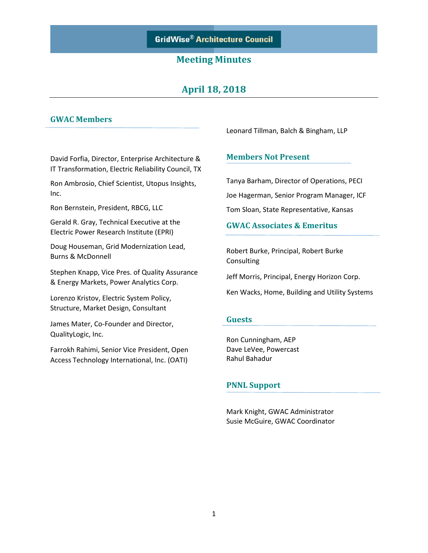# **April 18, 2018**

## **GWAC Members**

David Forfia, Director, Enterprise Architecture & IT Transformation, Electric Reliability Council, TX

Ron Ambrosio, Chief Scientist, Utopus Insights, Inc.

Ron Bernstein, President, RBCG, LLC

Gerald R. Gray, Technical Executive at the Electric Power Research Institute (EPRI)

Doug Houseman, Grid Modernization Lead, Burns & McDonnell

Stephen Knapp, Vice Pres. of Quality Assurance & Energy Markets, Power Analytics Corp.

Lorenzo Kristov, Electric System Policy, Structure, Market Design, Consultant

James Mater, Co-Founder and Director, QualityLogic, Inc.

Farrokh Rahimi, Senior Vice President, Open Access Technology International, Inc. (OATI)

Leonard Tillman, Balch & Bingham, LLP

#### **Members Not Present**

Tanya Barham, Director of Operations, PECI Joe Hagerman, Senior Program Manager, ICF Tom Sloan, State Representative, Kansas

#### **GWAC Associates & Emeritus**

Robert Burke, Principal, Robert Burke Consulting

Jeff Morris, Principal, Energy Horizon Corp.

Ken Wacks, Home, Building and Utility Systems

#### **Guests**

Ron Cunningham, AEP Dave LeVee, Powercast Rahul Bahadur

#### **PNNL Support**

Mark Knight, GWAC Administrator Susie McGuire, GWAC Coordinator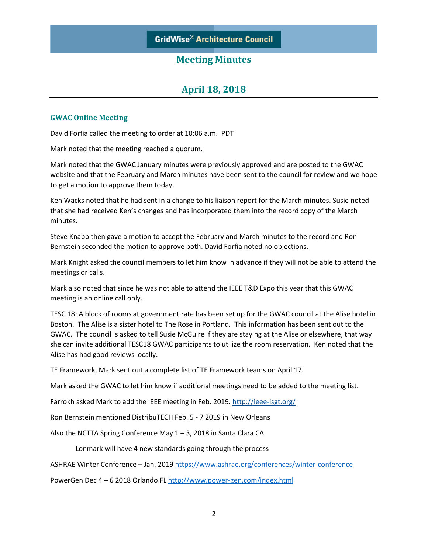# **April 18, 2018**

#### **GWAC Online Meeting**

David Forfia called the meeting to order at 10:06 a.m. PDT

Mark noted that the meeting reached a quorum.

Mark noted that the GWAC January minutes were previously approved and are posted to the GWAC website and that the February and March minutes have been sent to the council for review and we hope to get a motion to approve them today.

Ken Wacks noted that he had sent in a change to his liaison report for the March minutes. Susie noted that she had received Ken's changes and has incorporated them into the record copy of the March minutes.

Steve Knapp then gave a motion to accept the February and March minutes to the record and Ron Bernstein seconded the motion to approve both. David Forfia noted no objections.

Mark Knight asked the council members to let him know in advance if they will not be able to attend the meetings or calls.

Mark also noted that since he was not able to attend the IEEE T&D Expo this year that this GWAC meeting is an online call only.

TESC 18: A block of rooms at government rate has been set up for the GWAC council at the Alise hotel in Boston. The Alise is a sister hotel to The Rose in Portland. This information has been sent out to the GWAC. The council is asked to tell Susie McGuire if they are staying at the Alise or elsewhere, that way she can invite additional TESC18 GWAC participants to utilize the room reservation. Ken noted that the Alise has had good reviews locally.

TE Framework, Mark sent out a complete list of TE Framework teams on April 17.

Mark asked the GWAC to let him know if additional meetings need to be added to the meeting list.

Farrokh asked Mark to add the IEEE meeting in Feb. 2019. <http://ieee-isgt.org/>

Ron Bernstein mentioned DistribuTECH Feb. 5 - 7 2019 in New Orleans

Also the NCTTA Spring Conference May 1 – 3, 2018 in Santa Clara CA

Lonmark will have 4 new standards going through the process

ASHRAE Winter Conference - Jan. 2019 <https://www.ashrae.org/conferences/winter-conference>

PowerGen Dec 4 – 6 2018 Orlando FL <http://www.power-gen.com/index.html>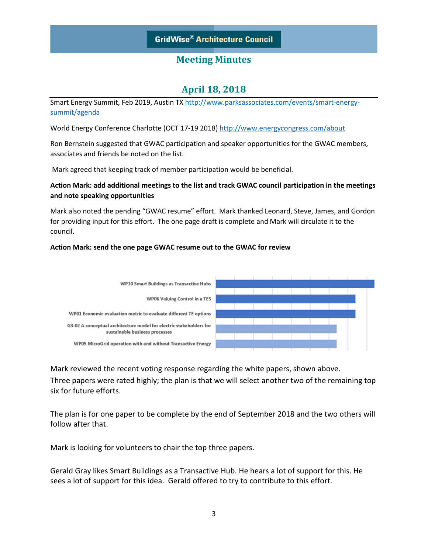# **April 18, 2018**

Smart Energy Summit, Feb 2019, Austin TX [http://www.parksassociates.com/events/smart-energy](http://www.parksassociates.com/events/smart-energy-summit/agenda)[summit/agenda](http://www.parksassociates.com/events/smart-energy-summit/agenda)

World Energy Conference Charlotte (OCT 17-19 2018)<http://www.energycongress.com/about>

Ron Bernstein suggested that GWAC participation and speaker opportunities for the GWAC members, associates and friends be noted on the list.

Mark agreed that keeping track of member participation would be beneficial.

#### **Action Mark: add additional meetings to the list and track GWAC council participation in the meetings and note speaking opportunities**

Mark also noted the pending "GWAC resume" effort. Mark thanked Leonard, Steve, James, and Gordon for providing input for this effort. The one page draft is complete and Mark will circulate it to the council.

#### **Action Mark: send the one page GWAC resume out to the GWAC for review**



Mark reviewed the recent voting response regarding the white papers, shown above. Three papers were rated highly; the plan is that we will select another two of the remaining top six for future efforts.

The plan is for one paper to be complete by the end of September 2018 and the two others will follow after that.

Mark is looking for volunteers to chair the top three papers.

Gerald Gray likes Smart Buildings as a Transactive Hub. He hears a lot of support for this. He sees a lot of support for this idea. Gerald offered to try to contribute to this effort.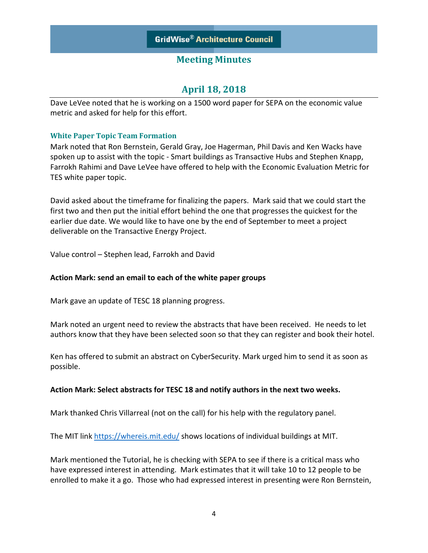# **April 18, 2018**

Dave LeVee noted that he is working on a 1500 word paper for SEPA on the economic value metric and asked for help for this effort.

### **White Paper Topic Team Formation**

Mark noted that Ron Bernstein, Gerald Gray, Joe Hagerman, Phil Davis and Ken Wacks have spoken up to assist with the topic - Smart buildings as Transactive Hubs and Stephen Knapp, Farrokh Rahimi and Dave LeVee have offered to help with the Economic Evaluation Metric for TES white paper topic.

David asked about the timeframe for finalizing the papers. Mark said that we could start the first two and then put the initial effort behind the one that progresses the quickest for the earlier due date. We would like to have one by the end of September to meet a project deliverable on the Transactive Energy Project.

Value control – Stephen lead, Farrokh and David

### **Action Mark: send an email to each of the white paper groups**

Mark gave an update of TESC 18 planning progress.

Mark noted an urgent need to review the abstracts that have been received. He needs to let authors know that they have been selected soon so that they can register and book their hotel.

Ken has offered to submit an abstract on CyberSecurity. Mark urged him to send it as soon as possible.

### **Action Mark: Select abstracts for TESC 18 and notify authors in the next two weeks.**

Mark thanked Chris Villarreal (not on the call) for his help with the regulatory panel.

The MIT lin[k https://whereis.mit.edu/](https://whereis.mit.edu/) shows locations of individual buildings at MIT.

Mark mentioned the Tutorial, he is checking with SEPA to see if there is a critical mass who have expressed interest in attending. Mark estimates that it will take 10 to 12 people to be enrolled to make it a go. Those who had expressed interest in presenting were Ron Bernstein,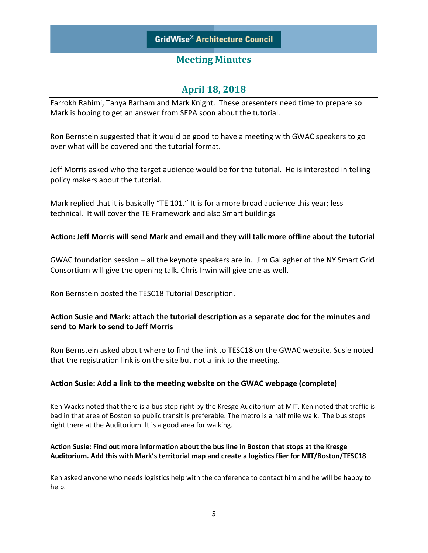# **April 18, 2018**

Farrokh Rahimi, Tanya Barham and Mark Knight. These presenters need time to prepare so Mark is hoping to get an answer from SEPA soon about the tutorial.

Ron Bernstein suggested that it would be good to have a meeting with GWAC speakers to go over what will be covered and the tutorial format.

Jeff Morris asked who the target audience would be for the tutorial. He is interested in telling policy makers about the tutorial.

Mark replied that it is basically "TE 101." It is for a more broad audience this year; less technical. It will cover the TE Framework and also Smart buildings

### **Action: Jeff Morris will send Mark and email and they will talk more offline about the tutorial**

GWAC foundation session – all the keynote speakers are in. Jim Gallagher of the NY Smart Grid Consortium will give the opening talk. Chris Irwin will give one as well.

Ron Bernstein posted the TESC18 Tutorial Description.

## **Action Susie and Mark: attach the tutorial description as a separate doc for the minutes and send to Mark to send to Jeff Morris**

Ron Bernstein asked about where to find the link to TESC18 on the GWAC website. Susie noted that the registration link is on the site but not a link to the meeting.

### **Action Susie: Add a link to the meeting website on the GWAC webpage (complete)**

Ken Wacks noted that there is a bus stop right by the Kresge Auditorium at MIT. Ken noted that traffic is bad in that area of Boston so public transit is preferable. The metro is a half mile walk. The bus stops right there at the Auditorium. It is a good area for walking.

#### **Action Susie: Find out more information about the bus line in Boston that stops at the Kresge Auditorium. Add this with Mark's territorial map and create a logistics flier for MIT/Boston/TESC18**

Ken asked anyone who needs logistics help with the conference to contact him and he will be happy to help.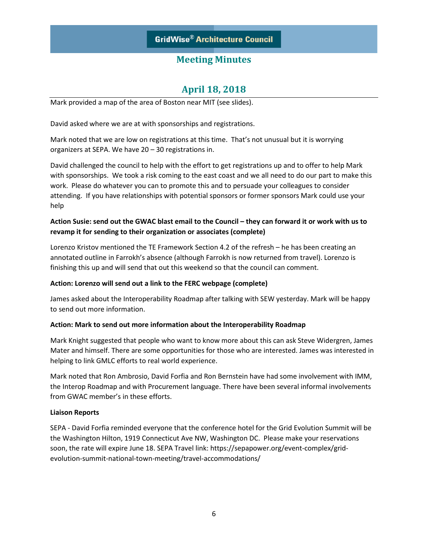# **April 18, 2018**

Mark provided a map of the area of Boston near MIT (see slides).

David asked where we are at with sponsorships and registrations.

Mark noted that we are low on registrations at this time. That's not unusual but it is worrying organizers at SEPA. We have 20 – 30 registrations in.

David challenged the council to help with the effort to get registrations up and to offer to help Mark with sponsorships. We took a risk coming to the east coast and we all need to do our part to make this work. Please do whatever you can to promote this and to persuade your colleagues to consider attending. If you have relationships with potential sponsors or former sponsors Mark could use your help

### **Action Susie: send out the GWAC blast email to the Council – they can forward it or work with us to revamp it for sending to their organization or associates (complete)**

Lorenzo Kristov mentioned the TE Framework Section 4.2 of the refresh – he has been creating an annotated outline in Farrokh's absence (although Farrokh is now returned from travel). Lorenzo is finishing this up and will send that out this weekend so that the council can comment.

#### **Action: Lorenzo will send out a link to the FERC webpage (complete)**

James asked about the Interoperability Roadmap after talking with SEW yesterday. Mark will be happy to send out more information.

#### **Action: Mark to send out more information about the Interoperability Roadmap**

Mark Knight suggested that people who want to know more about this can ask Steve Widergren, James Mater and himself. There are some opportunities for those who are interested. James was interested in helping to link GMLC efforts to real world experience.

Mark noted that Ron Ambrosio, David Forfia and Ron Bernstein have had some involvement with IMM, the Interop Roadmap and with Procurement language. There have been several informal involvements from GWAC member's in these efforts.

#### **Liaison Reports**

SEPA - David Forfia reminded everyone that the conference hotel for the Grid Evolution Summit will be the Washington Hilton, 1919 Connecticut Ave NW, Washington DC. Please make your reservations soon, the rate will expire June 18. SEPA Travel link: https://sepapower.org/event-complex/gridevolution-summit-national-town-meeting/travel-accommodations/